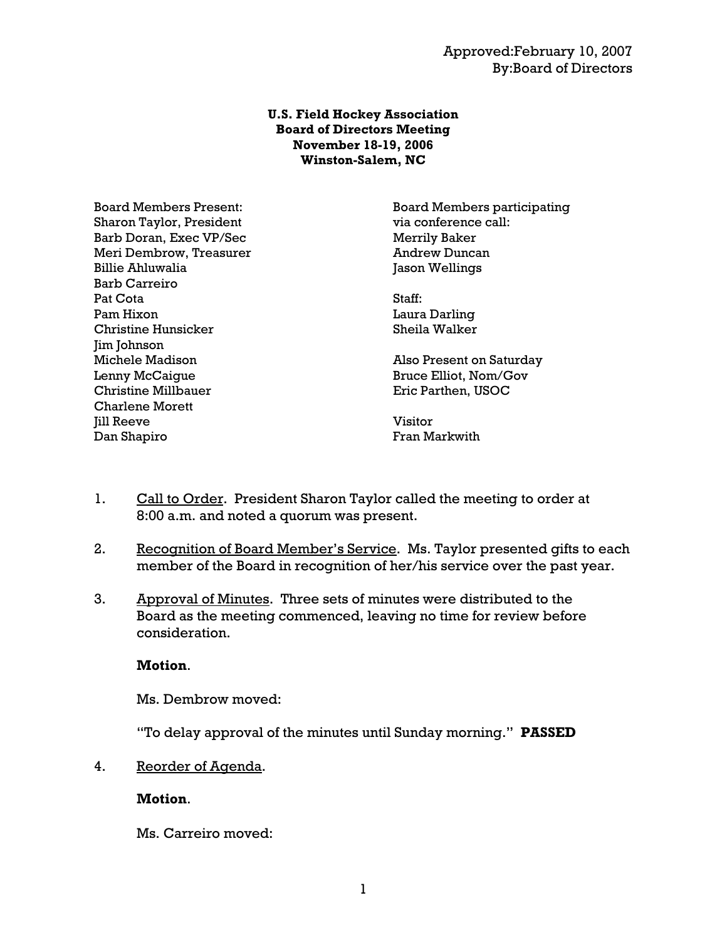#### **U.S. Field Hockey Association Board of Directors Meeting November 18-19, 2006 Winston-Salem, NC**

Sharon Taylor, President via conference call: Barb Doran, Exec VP/Sec Merrily Baker Meri Dembrow, Treasurer Andrew Duncan Billie Ahluwalia dia kaominina dia kaominina dia kaominina dia kaominina dia kaominina dia kaominina dia kaominina dia 40 metatra. Ny fisiana ara-daharampehinta ary ara-daharampehinta ary ara-daharampehinta ary ara-daharam Barb Carreiro Pat Cota Staff: Pam Hixon Laura Darling Christine Hunsicker Sheila Walker Jim Johnson Michele Madison **Also Present on Saturday** Lenny McCaigue Bruce Elliot, Nom/Gov Christine Millbauer Eric Parthen, USOC Charlene Morett **Iill Reeve** Visitor Dan Shapiro **Fran Markwith** 

Board Members Present: Board Members participating

- 1. Call to Order. President Sharon Taylor called the meeting to order at 8:00 a.m. and noted a quorum was present.
- 2. Recognition of Board Member's Service. Ms. Taylor presented gifts to each member of the Board in recognition of her/his service over the past year.
- 3. Approval of Minutes. Three sets of minutes were distributed to the Board as the meeting commenced, leaving no time for review before consideration.

## **Motion**.

Ms. Dembrow moved:

"To delay approval of the minutes until Sunday morning." **PASSED**

4. Reorder of Agenda.

## **Motion**.

Ms. Carreiro moved: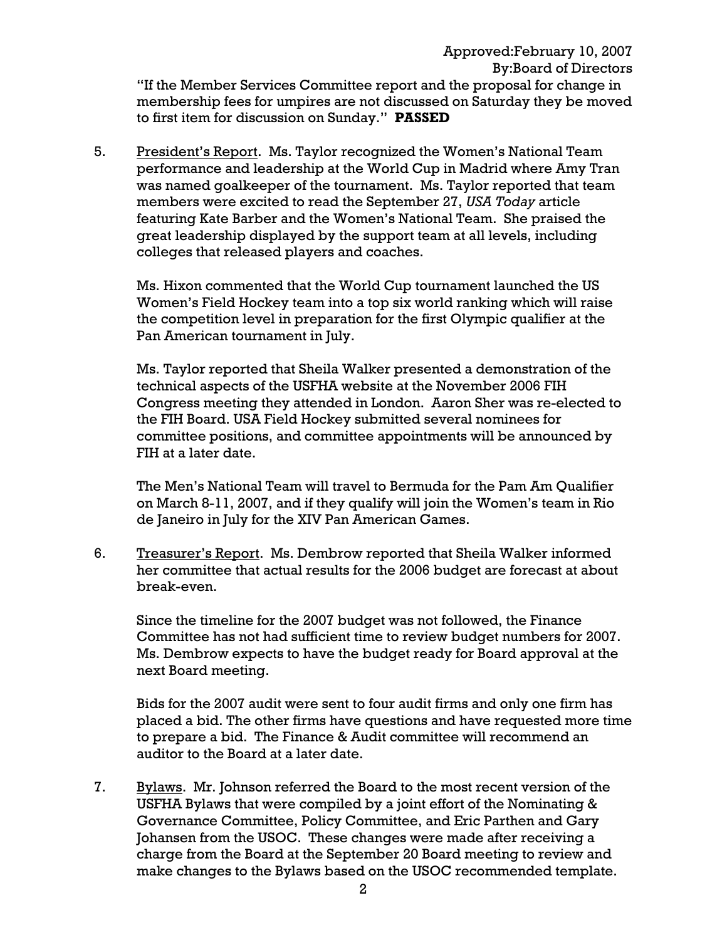### Approved:February 10, 2007 By:Board of Directors "If the Member Services Committee report and the proposal for change in membership fees for umpires are not discussed on Saturday they be moved to first item for discussion on Sunday." **PASSED**

5. President's Report. Ms. Taylor recognized the Women's National Team performance and leadership at the World Cup in Madrid where Amy Tran was named goalkeeper of the tournament. Ms. Taylor reported that team members were excited to read the September 27, *USA Today* article featuring Kate Barber and the Women's National Team. She praised the great leadership displayed by the support team at all levels, including colleges that released players and coaches.

Ms. Hixon commented that the World Cup tournament launched the US Women's Field Hockey team into a top six world ranking which will raise the competition level in preparation for the first Olympic qualifier at the Pan American tournament in July.

Ms. Taylor reported that Sheila Walker presented a demonstration of the technical aspects of the USFHA website at the November 2006 FIH Congress meeting they attended in London. Aaron Sher was re-elected to the FIH Board. USA Field Hockey submitted several nominees for committee positions, and committee appointments will be announced by FIH at a later date.

The Men's National Team will travel to Bermuda for the Pam Am Qualifier on March 8-11, 2007, and if they qualify will join the Women's team in Rio de Janeiro in July for the XIV Pan American Games.

6. Treasurer's Report. Ms. Dembrow reported that Sheila Walker informed her committee that actual results for the 2006 budget are forecast at about break-even.

 Since the timeline for the 2007 budget was not followed, the Finance Committee has not had sufficient time to review budget numbers for 2007. Ms. Dembrow expects to have the budget ready for Board approval at the next Board meeting.

 Bids for the 2007 audit were sent to four audit firms and only one firm has placed a bid. The other firms have questions and have requested more time to prepare a bid. The Finance & Audit committee will recommend an auditor to the Board at a later date.

7. Bylaws. Mr. Johnson referred the Board to the most recent version of the USFHA Bylaws that were compiled by a joint effort of the Nominating & Governance Committee, Policy Committee, and Eric Parthen and Gary Johansen from the USOC. These changes were made after receiving a charge from the Board at the September 20 Board meeting to review and make changes to the Bylaws based on the USOC recommended template.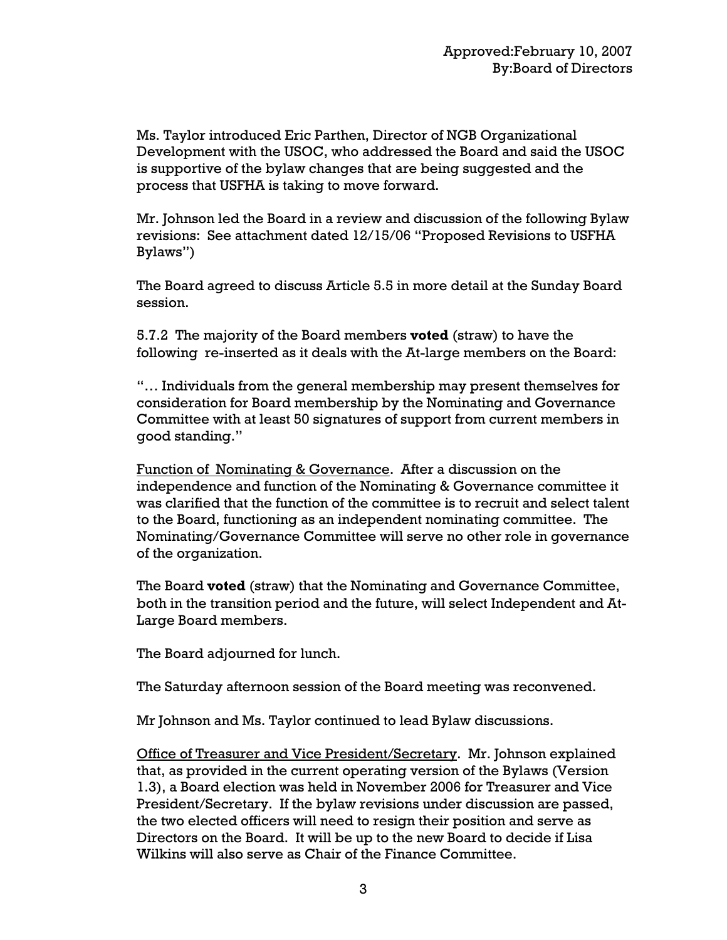Ms. Taylor introduced Eric Parthen, Director of NGB Organizational Development with the USOC, who addressed the Board and said the USOC is supportive of the bylaw changes that are being suggested and the process that USFHA is taking to move forward.

Mr. Johnson led the Board in a review and discussion of the following Bylaw revisions: See attachment dated 12/15/06 "Proposed Revisions to USFHA Bylaws")

The Board agreed to discuss Article 5.5 in more detail at the Sunday Board session.

5.7.2 The majority of the Board members **voted** (straw) to have the following re-inserted as it deals with the At-large members on the Board:

"… Individuals from the general membership may present themselves for consideration for Board membership by the Nominating and Governance Committee with at least 50 signatures of support from current members in good standing."

Function of Nominating & Governance. After a discussion on the independence and function of the Nominating & Governance committee it was clarified that the function of the committee is to recruit and select talent to the Board, functioning as an independent nominating committee. The Nominating/Governance Committee will serve no other role in governance of the organization.

The Board **voted** (straw) that the Nominating and Governance Committee, both in the transition period and the future, will select Independent and At-Large Board members.

The Board adjourned for lunch.

The Saturday afternoon session of the Board meeting was reconvened.

Mr Johnson and Ms. Taylor continued to lead Bylaw discussions.

Office of Treasurer and Vice President/Secretary. Mr. Johnson explained that, as provided in the current operating version of the Bylaws (Version 1.3), a Board election was held in November 2006 for Treasurer and Vice President/Secretary. If the bylaw revisions under discussion are passed, the two elected officers will need to resign their position and serve as Directors on the Board. It will be up to the new Board to decide if Lisa Wilkins will also serve as Chair of the Finance Committee.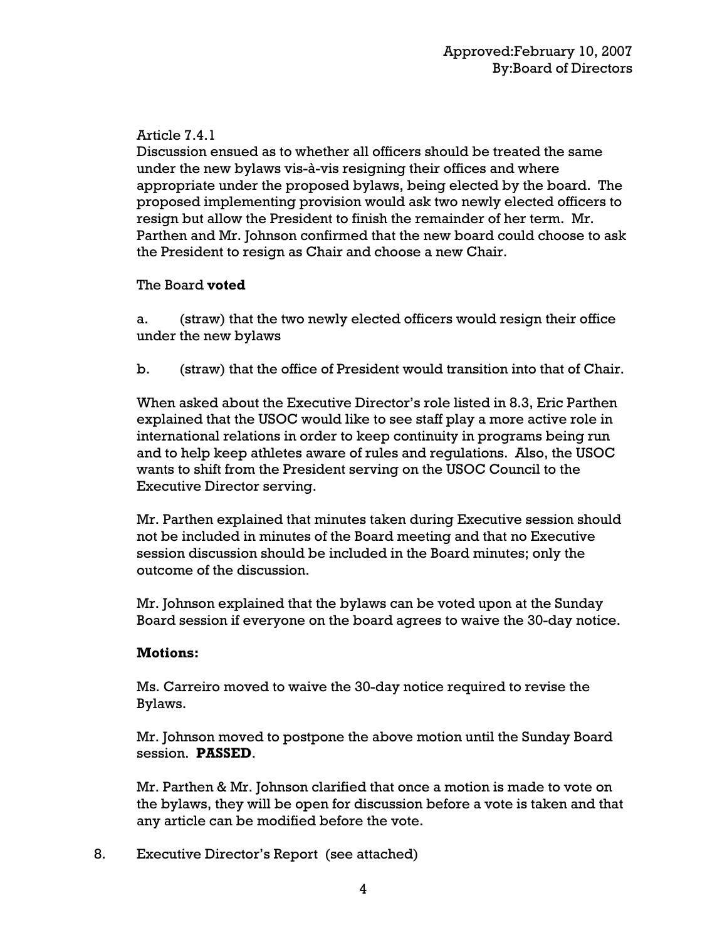# Article 7.4.1

Discussion ensued as to whether all officers should be treated the same under the new bylaws vis-à-vis resigning their offices and where appropriate under the proposed bylaws, being elected by the board. The proposed implementing provision would ask two newly elected officers to resign but allow the President to finish the remainder of her term. Mr. Parthen and Mr. Johnson confirmed that the new board could choose to ask the President to resign as Chair and choose a new Chair.

# The Board **voted**

a. (straw) that the two newly elected officers would resign their office under the new bylaws

b. (straw) that the office of President would transition into that of Chair.

When asked about the Executive Director's role listed in 8.3, Eric Parthen explained that the USOC would like to see staff play a more active role in international relations in order to keep continuity in programs being run and to help keep athletes aware of rules and regulations. Also, the USOC wants to shift from the President serving on the USOC Council to the Executive Director serving.

Mr. Parthen explained that minutes taken during Executive session should not be included in minutes of the Board meeting and that no Executive session discussion should be included in the Board minutes; only the outcome of the discussion.

Mr. Johnson explained that the bylaws can be voted upon at the Sunday Board session if everyone on the board agrees to waive the 30-day notice.

# **Motions:**

Ms. Carreiro moved to waive the 30-day notice required to revise the Bylaws.

Mr. Johnson moved to postpone the above motion until the Sunday Board session. **PASSED**.

Mr. Parthen & Mr. Johnson clarified that once a motion is made to vote on the bylaws, they will be open for discussion before a vote is taken and that any article can be modified before the vote.

8. Executive Director's Report (see attached)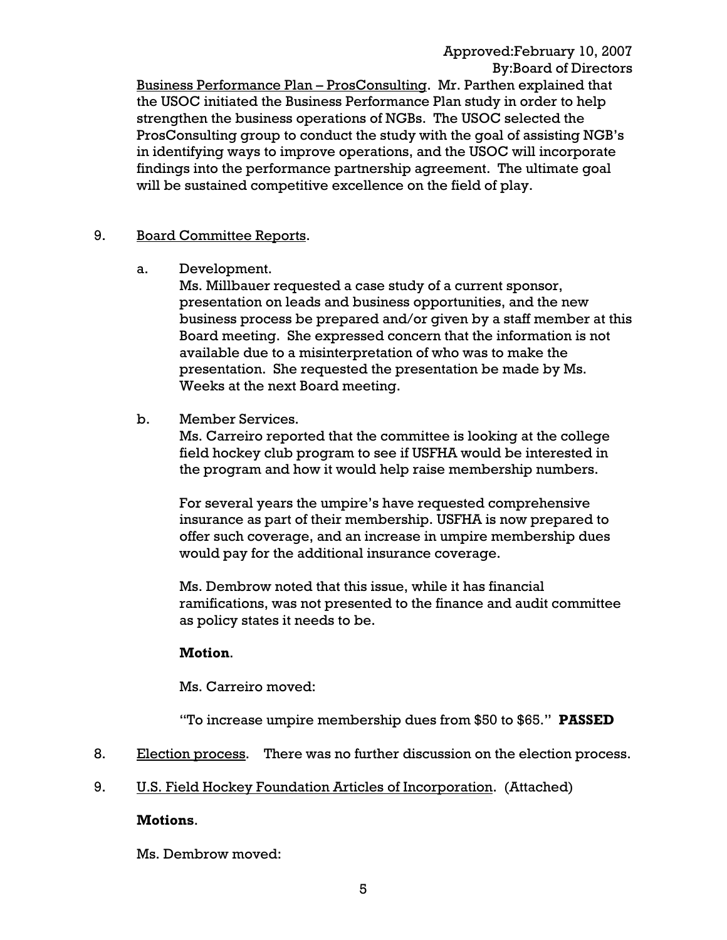Approved:February 10, 2007 By:Board of Directors

 Business Performance Plan – ProsConsulting. Mr. Parthen explained that the USOC initiated the Business Performance Plan study in order to help strengthen the business operations of NGBs. The USOC selected the ProsConsulting group to conduct the study with the goal of assisting NGB's in identifying ways to improve operations, and the USOC will incorporate findings into the performance partnership agreement. The ultimate goal will be sustained competitive excellence on the field of play.

#### 9. Board Committee Reports.

a. Development.

 Ms. Millbauer requested a case study of a current sponsor, presentation on leads and business opportunities, and the new business process be prepared and/or given by a staff member at this Board meeting. She expressed concern that the information is not available due to a misinterpretation of who was to make the presentation. She requested the presentation be made by Ms. Weeks at the next Board meeting.

b. Member Services.

 Ms. Carreiro reported that the committee is looking at the college field hockey club program to see if USFHA would be interested in the program and how it would help raise membership numbers.

 For several years the umpire's have requested comprehensive insurance as part of their membership. USFHA is now prepared to offer such coverage, and an increase in umpire membership dues would pay for the additional insurance coverage.

 Ms. Dembrow noted that this issue, while it has financial ramifications, was not presented to the finance and audit committee as policy states it needs to be.

#### **Motion**.

Ms. Carreiro moved:

"To increase umpire membership dues from \$50 to \$65." **PASSED**

- 8. Election process. There was no further discussion on the election process.
- 9. U.S. Field Hockey Foundation Articles of Incorporation. (Attached)

#### **Motions**.

Ms. Dembrow moved: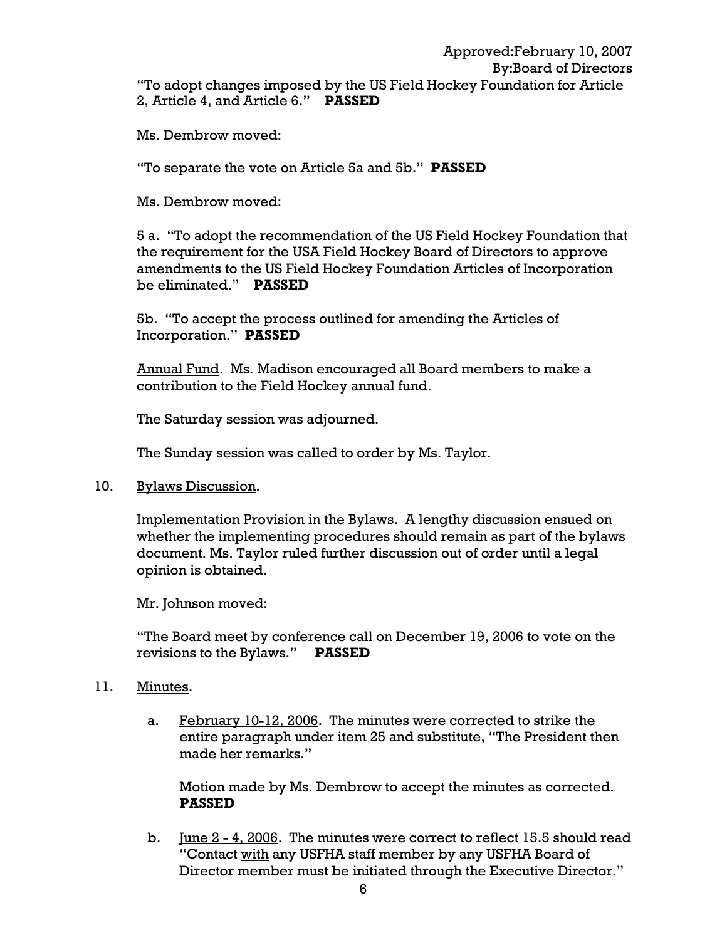Ms. Dembrow moved:

"To separate the vote on Article 5a and 5b." **PASSED**

Ms. Dembrow moved:

 5 a. "To adopt the recommendation of the US Field Hockey Foundation that the requirement for the USA Field Hockey Board of Directors to approve amendments to the US Field Hockey Foundation Articles of Incorporation be eliminated." **PASSED**

 5b. "To accept the process outlined for amending the Articles of Incorporation." **PASSED** 

 Annual Fund. Ms. Madison encouraged all Board members to make a contribution to the Field Hockey annual fund.

The Saturday session was adjourned.

The Sunday session was called to order by Ms. Taylor.

10. Bylaws Discussion.

 Implementation Provision in the Bylaws. A lengthy discussion ensued on whether the implementing procedures should remain as part of the bylaws document. Ms. Taylor ruled further discussion out of order until a legal opinion is obtained.

Mr. Johnson moved:

 "The Board meet by conference call on December 19, 2006 to vote on the revisions to the Bylaws." **PASSED** 

#### 11. Minutes.

a. February 10-12, 2006. The minutes were corrected to strike the entire paragraph under item 25 and substitute, "The President then made her remarks."

 Motion made by Ms. Dembrow to accept the minutes as corrected. **PASSED**

 b. June 2 - 4, 2006. The minutes were correct to reflect 15.5 should read "Contact with any USFHA staff member by any USFHA Board of Director member must be initiated through the Executive Director."